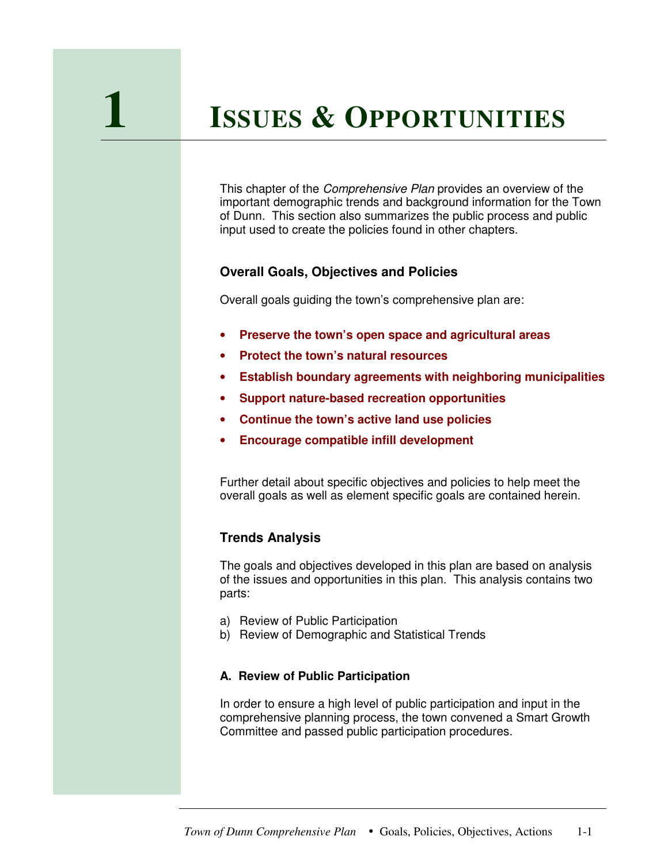# **1 <sup>I</sup>SSUES & <sup>O</sup>PPORTUNITIES**

This chapter of the *Comprehensive Plan* provides an overview of the important demographic trends and background information for the Town of Dunn. This section also summarizes the public process and public input used to create the policies found in other chapters.

# **Overall Goals, Objectives and Policies**

Overall goals guiding the town's comprehensive plan are:

- **Preserve the town's open space and agricultural areas**
- **Protect the town's natural resources**
- **Establish boundary agreements with neighboring municipalities**
- **Support nature-based recreation opportunities**
- **Continue the town's active land use policies**
- **Encourage compatible infill development**

Further detail about specific objectives and policies to help meet the overall goals as well as element specific goals are contained herein.

# **Trends Analysis**

The goals and objectives developed in this plan are based on analysis of the issues and opportunities in this plan. This analysis contains two parts:

- a) Review of Public Participation
- b) Review of Demographic and Statistical Trends

## **A. Review of Public Participation**

In order to ensure a high level of public participation and input in the comprehensive planning process, the town convened a Smart Growth Committee and passed public participation procedures.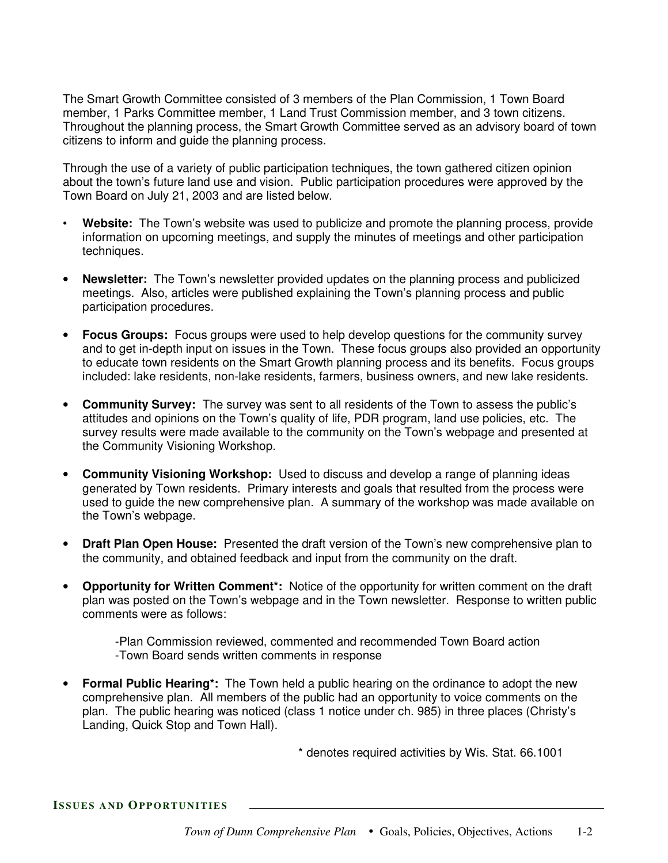The Smart Growth Committee consisted of 3 members of the Plan Commission, 1 Town Board member, 1 Parks Committee member, 1 Land Trust Commission member, and 3 town citizens. Throughout the planning process, the Smart Growth Committee served as an advisory board of town citizens to inform and guide the planning process.

Through the use of a variety of public participation techniques, the town gathered citizen opinion about the town's future land use and vision. Public participation procedures were approved by the Town Board on July 21, 2003 and are listed below.

- **Website:** The Town's website was used to publicize and promote the planning process, provide information on upcoming meetings, and supply the minutes of meetings and other participation techniques.
- **Newsletter:** The Town's newsletter provided updates on the planning process and publicized meetings. Also, articles were published explaining the Town's planning process and public participation procedures.
- **Focus Groups:** Focus groups were used to help develop questions for the community survey and to get in-depth input on issues in the Town. These focus groups also provided an opportunity to educate town residents on the Smart Growth planning process and its benefits. Focus groups included: lake residents, non-lake residents, farmers, business owners, and new lake residents.
- **Community Survey:** The survey was sent to all residents of the Town to assess the public's attitudes and opinions on the Town's quality of life, PDR program, land use policies, etc. The survey results were made available to the community on the Town's webpage and presented at the Community Visioning Workshop.
- **Community Visioning Workshop:** Used to discuss and develop a range of planning ideas generated by Town residents. Primary interests and goals that resulted from the process were used to guide the new comprehensive plan. A summary of the workshop was made available on the Town's webpage.
- **Draft Plan Open House:** Presented the draft version of the Town's new comprehensive plan to the community, and obtained feedback and input from the community on the draft.
- **Opportunity for Written Comment\*:** Notice of the opportunity for written comment on the draft plan was posted on the Town's webpage and in the Town newsletter. Response to written public comments were as follows:

-Plan Commission reviewed, commented and recommended Town Board action -Town Board sends written comments in response

• **Formal Public Hearing\*:** The Town held a public hearing on the ordinance to adopt the new comprehensive plan. All members of the public had an opportunity to voice comments on the plan. The public hearing was noticed (class 1 notice under ch. 985) in three places (Christy's Landing, Quick Stop and Town Hall).

\* denotes required activities by Wis. Stat. 66.1001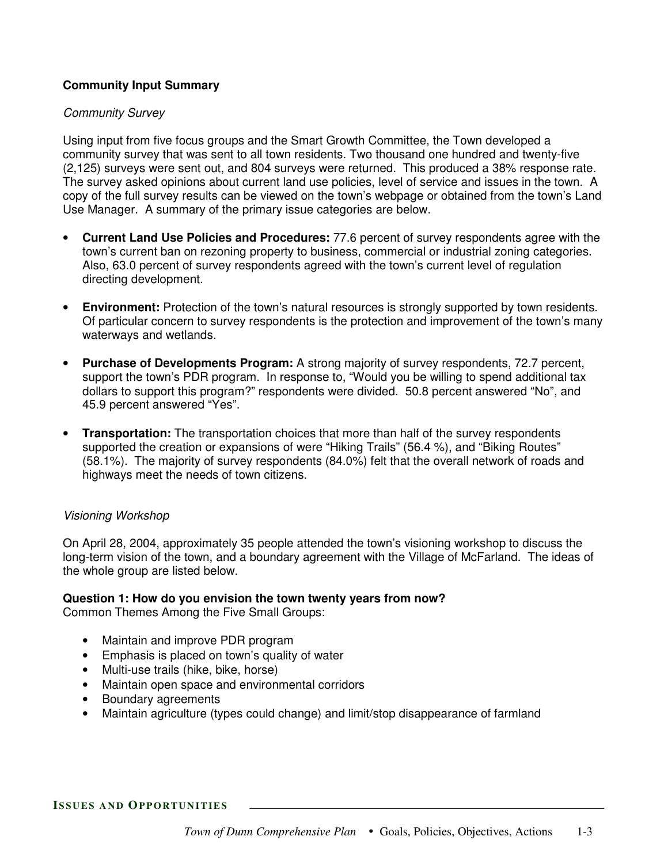# **Community Input Summary**

## *Community Survey*

Using input from five focus groups and the Smart Growth Committee, the Town developed a community survey that was sent to all town residents. Two thousand one hundred and twenty-five (2,125) surveys were sent out, and 804 surveys were returned. This produced a 38% response rate. The survey asked opinions about current land use policies, level of service and issues in the town. A copy of the full survey results can be viewed on the town's webpage or obtained from the town's Land Use Manager. A summary of the primary issue categories are below.

- **Current Land Use Policies and Procedures:** 77.6 percent of survey respondents agree with the town's current ban on rezoning property to business, commercial or industrial zoning categories. Also, 63.0 percent of survey respondents agreed with the town's current level of regulation directing development.
- **Environment:** Protection of the town's natural resources is strongly supported by town residents. Of particular concern to survey respondents is the protection and improvement of the town's many waterways and wetlands.
- **Purchase of Developments Program:** A strong majority of survey respondents, 72.7 percent, support the town's PDR program. In response to, "Would you be willing to spend additional tax dollars to support this program?" respondents were divided. 50.8 percent answered "No", and 45.9 percent answered "Yes".
- **Transportation:** The transportation choices that more than half of the survey respondents supported the creation or expansions of were "Hiking Trails" (56.4 %), and "Biking Routes" (58.1%). The majority of survey respondents (84.0%) felt that the overall network of roads and highways meet the needs of town citizens.

# *Visioning Workshop*

On April 28, 2004, approximately 35 people attended the town's visioning workshop to discuss the long-term vision of the town, and a boundary agreement with the Village of McFarland. The ideas of the whole group are listed below.

# **Question 1: How do you envision the town twenty years from now?**

Common Themes Among the Five Small Groups:

- Maintain and improve PDR program
- Emphasis is placed on town's quality of water
- Multi-use trails (hike, bike, horse)
- Maintain open space and environmental corridors
- Boundary agreements
- Maintain agriculture (types could change) and limit/stop disappearance of farmland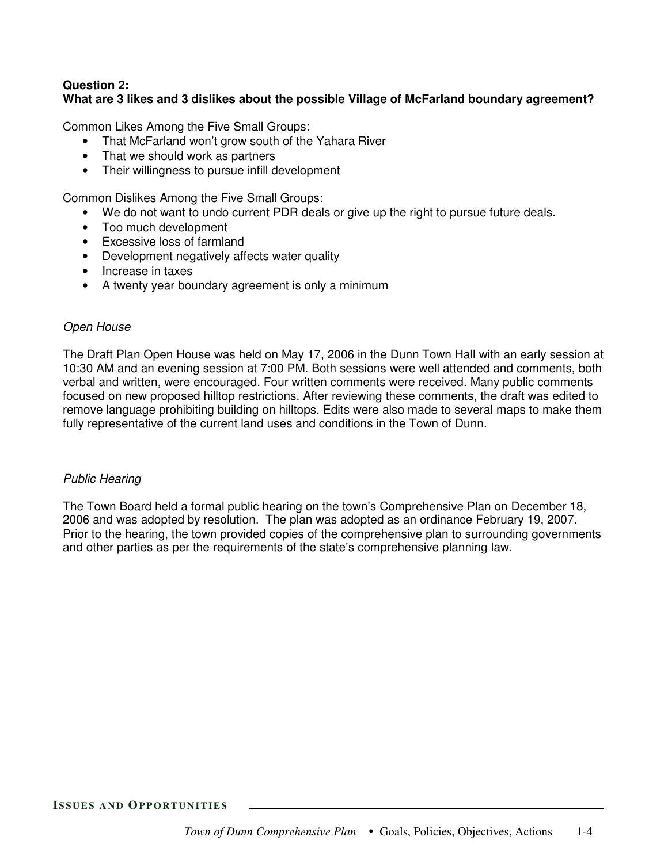## **Question 2: What are 3 likes and 3 dislikes about the possible Village of McFarland boundary agreement?**

Common Likes Among the Five Small Groups:

- That McFarland won't grow south of the Yahara River
- That we should work as partners
- Their willingness to pursue infill development

Common Dislikes Among the Five Small Groups:

- We do not want to undo current PDR deals or give up the right to pursue future deals.
- Too much development
- Excessive loss of farmland
- Development negatively affects water quality
- Increase in taxes
- A twenty year boundary agreement is only a minimum

# *Open House*

The Draft Plan Open House was held on May 17, 2006 in the Dunn Town Hall with an early session at 10:30 AM and an evening session at 7:00 PM. Both sessions were well attended and comments, both verbal and written, were encouraged. Four written comments were received. Many public comments focused on new proposed hilltop restrictions. After reviewing these comments, the draft was edited to remove language prohibiting building on hilltops. Edits were also made to several maps to make them fully representative of the current land uses and conditions in the Town of Dunn.

# *Public Hearing*

The Town Board held a formal public hearing on the town's Comprehensive Plan on December 18, 2006 and was adopted by resolution. The plan was adopted as an ordinance February 19, 2007. Prior to the hearing, the town provided copies of the comprehensive plan to surrounding governments and other parties as per the requirements of the state's comprehensive planning law.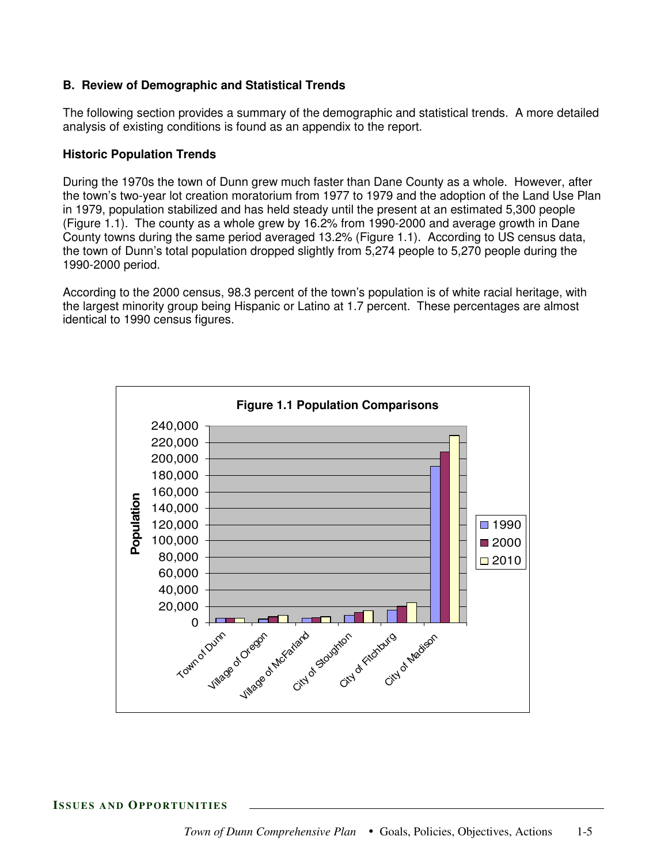# **B. Review of Demographic and Statistical Trends**

The following section provides a summary of the demographic and statistical trends. A more detailed analysis of existing conditions is found as an appendix to the report.

# **Historic Population Trends**

During the 1970s the town of Dunn grew much faster than Dane County as a whole. However, after the town's two-year lot creation moratorium from 1977 to 1979 and the adoption of the Land Use Plan in 1979, population stabilized and has held steady until the present at an estimated 5,300 people (Figure 1.1). The county as a whole grew by 16.2% from 1990-2000 and average growth in Dane County towns during the same period averaged 13.2% (Figure 1.1). According to US census data, the town of Dunn's total population dropped slightly from 5,274 people to 5,270 people during the 1990-2000 period.

According to the 2000 census, 98.3 percent of the town's population is of white racial heritage, with the largest minority group being Hispanic or Latino at 1.7 percent. These percentages are almost identical to 1990 census figures.

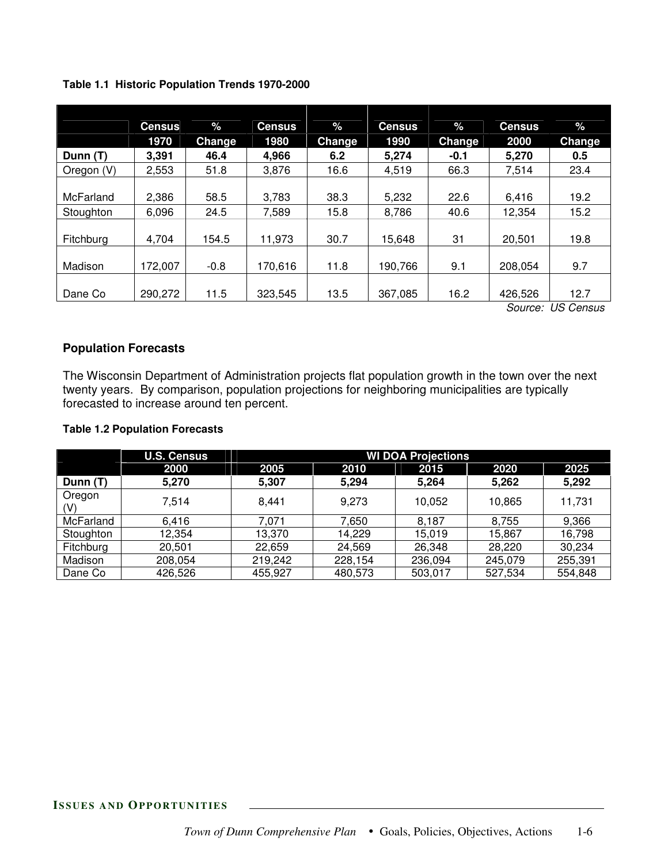|         |                       |                    |                       |                |                       |                       | %                               |
|---------|-----------------------|--------------------|-----------------------|----------------|-----------------------|-----------------------|---------------------------------|
|         |                       |                    |                       |                |                       |                       | Change                          |
| 3,391   | 46.4                  | 4,966              | 6.2                   | 5,274          | $-0.1$                | 5,270                 | 0.5                             |
| 2,553   | 51.8                  | 3,876              | 16.6                  | 4,519          | 66.3                  | 7,514                 | 23.4                            |
|         |                       |                    |                       |                |                       |                       |                                 |
| 2,386   | 58.5                  | 3,783              | 38.3                  | 5,232          | 22.6                  | 6,416                 | 19.2                            |
| 6,096   | 24.5                  | 7,589              | 15.8                  | 8,786          | 40.6                  | 12,354                | 15.2                            |
|         |                       |                    |                       |                |                       |                       |                                 |
| 4,704   | 154.5                 | 11,973             | 30.7                  | 15,648         | 31                    | 20,501                | 19.8                            |
|         |                       |                    |                       |                |                       |                       |                                 |
| 172,007 | $-0.8$                | 170,616            | 11.8                  | 190,766        | 9.1                   | 208,054               | 9.7                             |
|         |                       |                    |                       |                |                       |                       |                                 |
| 290,272 | 11.5                  | 323,545            | 13.5                  | 367,085        | 16.2                  | 426,526               | 12.7                            |
|         | <b>Census</b><br>1970 | ℅<br><b>Change</b> | <b>Census</b><br>1980 | $\%$<br>Change | <b>Census</b><br>1990 | $\%$<br><b>Change</b> | <b>Census</b><br>2000<br>$\sim$ |

## **Table 1.1 Historic Population Trends 1970-2000**

*Source: US Census*

# **Population Forecasts**

The Wisconsin Department of Administration projects flat population growth in the town over the next twenty years. By comparison, population projections for neighboring municipalities are typically forecasted to increase around ten percent.

## **Table 1.2 Population Forecasts**

|               | <b>U.S. Census</b> | <b>WI DOA Projections</b> |         |         |         |         |
|---------------|--------------------|---------------------------|---------|---------|---------|---------|
|               | 2000               | 2005                      | 2010    | 2015    | 2020    | 2025    |
| Dunn (T)      | 5,270              | 5,307                     | 5,294   | 5,264   | 5,262   | 5,292   |
| Oregon<br>(V) | 7,514              | 8.441                     | 9,273   | 10,052  | 10,865  | 11,731  |
| McFarland     | 6.416              | 7,071                     | 7,650   | 8,187   | 8,755   | 9,366   |
| Stoughton     | 12,354             | 13,370                    | 14,229  | 15,019  | 15,867  | 16,798  |
| Fitchburg     | 20,501             | 22,659                    | 24,569  | 26,348  | 28,220  | 30,234  |
| Madison       | 208,054            | 219,242                   | 228,154 | 236,094 | 245,079 | 255,391 |
| Dane Co       | 426,526            | 455,927                   | 480,573 | 503,017 | 527,534 | 554,848 |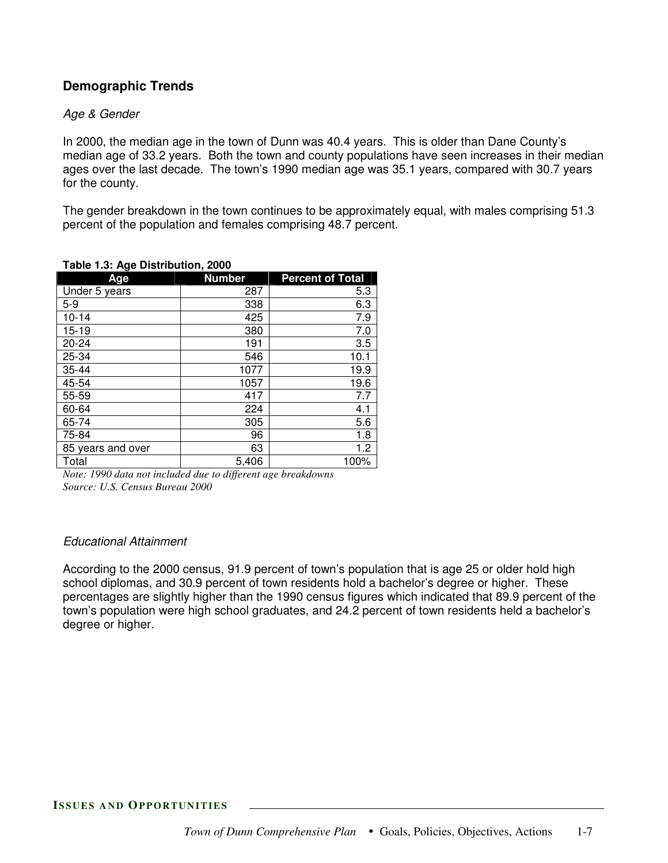# **Demographic Trends**

# *Age & Gender*

In 2000, the median age in the town of Dunn was 40.4 years. This is older than Dane County's median age of 33.2 years. Both the town and county populations have seen increases in their median ages over the last decade. The town's 1990 median age was 35.1 years, compared with 30.7 years for the county.

The gender breakdown in the town continues to be approximately equal, with males comprising 51.3 percent of the population and females comprising 48.7 percent.

| Age               | <b>Number</b> | <b>Percent of Total</b> |  |  |  |
|-------------------|---------------|-------------------------|--|--|--|
| Under 5 years     | 287           | 5.3                     |  |  |  |
| $5-9$             | 338           | 6.3                     |  |  |  |
| $10 - 14$         | 425           | 7.9                     |  |  |  |
| $15 - 19$         | 380           | 7.0                     |  |  |  |
| 20-24             | 191           | 3.5                     |  |  |  |
| 25-34             | 546           | 10.1                    |  |  |  |
| 35-44             | 1077          | 19.9                    |  |  |  |
| 45-54             | 1057          | 19.6                    |  |  |  |
| 55-59             | 417           | 7.7                     |  |  |  |
| 60-64             | 224           | 4.1                     |  |  |  |
| 65-74             | 305           | 5.6                     |  |  |  |
| 75-84             | 96            | 1.8                     |  |  |  |
| 85 years and over | 63            | 1.2                     |  |  |  |
| Total             | 5,406         | 100%                    |  |  |  |

# **Table 1.3: Age Distribution, 2000**

*Note: 1990 data not included due to different age breakdowns Source: U.S. Census Bureau 2000*

## *Educational Attainment*

According to the 2000 census, 91.9 percent of town's population that is age 25 or older hold high school diplomas, and 30.9 percent of town residents hold a bachelor's degree or higher. These percentages are slightly higher than the 1990 census figures which indicated that 89.9 percent of the town's population were high school graduates, and 24.2 percent of town residents held a bachelor's degree or higher.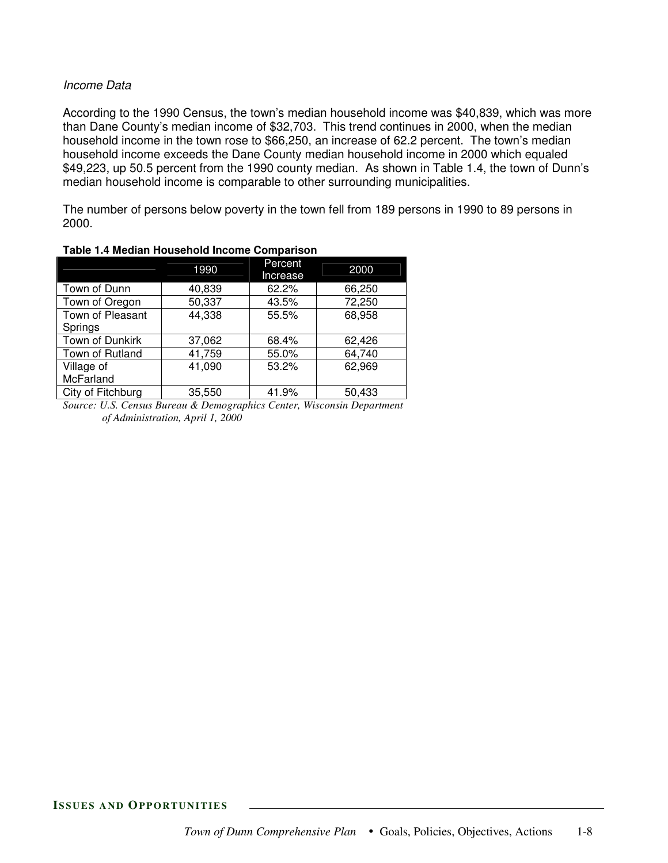## *Income Data*

According to the 1990 Census, the town's median household income was \$40,839, which was more than Dane County's median income of \$32,703. This trend continues in 2000, when the median household income in the town rose to \$66,250, an increase of 62.2 percent. The town's median household income exceeds the Dane County median household income in 2000 which equaled \$49,223, up 50.5 percent from the 1990 county median. As shown in Table 1.4, the town of Dunn's median household income is comparable to other surrounding municipalities.

The number of persons below poverty in the town fell from 189 persons in 1990 to 89 persons in 2000.

|                   | 1990   | Percent<br>Increase | 2000   |
|-------------------|--------|---------------------|--------|
| Town of Dunn      | 40,839 | 62.2%               | 66,250 |
| Town of Oregon    | 50,337 | 43.5%               | 72,250 |
| Town of Pleasant  | 44,338 | 55.5%               | 68,958 |
| Springs           |        |                     |        |
| Town of Dunkirk   | 37,062 | 68.4%               | 62,426 |
| Town of Rutland   | 41,759 | 55.0%               | 64,740 |
| Village of        | 41,090 | 53.2%               | 62,969 |
| McFarland         |        |                     |        |
| City of Fitchburg | 35,550 | 41.9%               | 50,433 |

#### **Table 1.4 Median Household Income Comparison**

*Source: U.S. Census Bureau & Demographics Center, Wisconsin Department of Administration, April 1, 2000*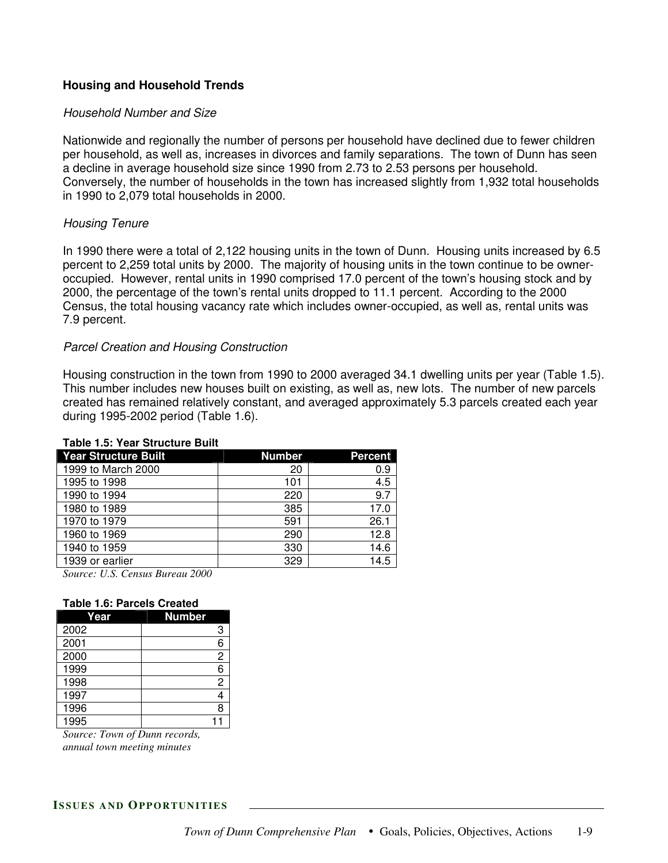# **Housing and Household Trends**

## *Household Number and Size*

Nationwide and regionally the number of persons per household have declined due to fewer children per household, as well as, increases in divorces and family separations. The town of Dunn has seen a decline in average household size since 1990 from 2.73 to 2.53 persons per household. Conversely, the number of households in the town has increased slightly from 1,932 total households in 1990 to 2,079 total households in 2000.

# *Housing Tenure*

In 1990 there were a total of 2,122 housing units in the town of Dunn. Housing units increased by 6.5 percent to 2,259 total units by 2000. The majority of housing units in the town continue to be owneroccupied. However, rental units in 1990 comprised 17.0 percent of the town's housing stock and by 2000, the percentage of the town's rental units dropped to 11.1 percent. According to the 2000 Census, the total housing vacancy rate which includes owner-occupied, as well as, rental units was 7.9 percent.

# *Parcel Creation and Housing Construction*

Housing construction in the town from 1990 to 2000 averaged 34.1 dwelling units per year (Table 1.5). This number includes new houses built on existing, as well as, new lots. The number of new parcels created has remained relatively constant, and averaged approximately 5.3 parcels created each year during 1995-2002 period (Table 1.6).

| <b>Number</b> | <b>Percent</b> |
|---------------|----------------|
| 20            | 0.9            |
| 101           | 4.5            |
| 220           | 9.7            |
| 385           | 17.0           |
| 591           | 26.1           |
| 290           | 12.8           |
| 330           | 14.6           |
| 329           | 14.5           |
|               |                |

## **Table 1.5: Year Structure Built**

*Source: U.S. Census Bureau 2000*

#### **Table 1.6: Parcels Created**

| Year | <b>Number</b>  |  |  |  |
|------|----------------|--|--|--|
| 2002 | 3              |  |  |  |
| 2001 | 6              |  |  |  |
| 2000 | 2              |  |  |  |
| 1999 | 6              |  |  |  |
| 1998 | $\overline{c}$ |  |  |  |
| 1997 | 4              |  |  |  |
| 1996 | 8              |  |  |  |
| 1995 |                |  |  |  |

*Source: Town of Dunn records, annual town meeting minutes*